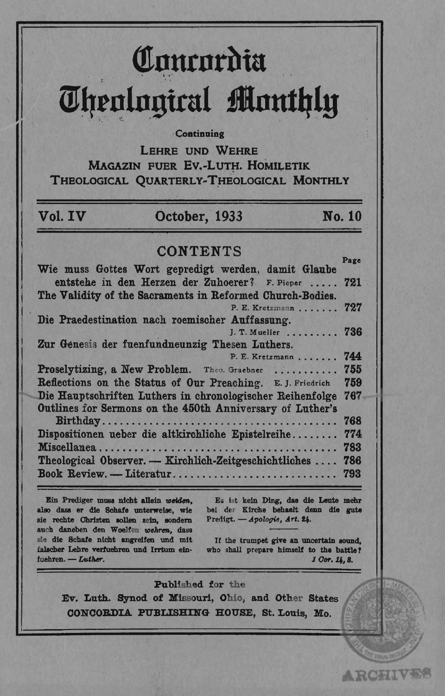# Concordia **Theological Monthly**

Continuing

LEHRE UND WEHRE **MAGAZIN FUER EV.-LUTH. HOMILETIK** THEOLOGICAL QUARTERLY-THEOLOGICAL MONTHLY

# Vol. IV

## October, 1933

**No. 10** 

# **CONTENTS**

| Wie muss Gottes Wort gepredigt werden, damit Glaube         | raxd |
|-------------------------------------------------------------|------|
| entstehe in den Herzen der Zuhoerer? F. Pieper  721         |      |
| The Validity of the Sacraments in Reformed Church-Bodies.   |      |
| P. E. Kretzmann 727                                         |      |
| Die Praedestination nach roemischer Auffassung.             |      |
| J. T. Mueller                                               | 736  |
| Zur Genesis der fuenfundneunzig Thesen Luthers.             |      |
| P. E. Kretzmann                                             | 744  |
| Proselytizing, a New Problem. Theo. Graebner                | 755  |
| Reflections on the Status of Our Preaching. E. J. Friedrich | 759  |
| Die Hauptschriften Luthers in chronologischer Reihenfolge   | 767  |
| Outlines for Sermons on the 450th Anniversary of Luther's   |      |
|                                                             | 768  |
| Dispositionen ueber die altkirchliche Epistelreihe          | 774  |
|                                                             | 783  |
| Theological Observer. - Kirchlich-Zeitgeschichtliches       | 786  |
| Book Review. - Literatur                                    | 793  |
|                                                             |      |

Ein Prediger muss nicht allein weiden. also dass er die Schafe unterweise, wie sie rechte Christen sollen sein, sondern auch daneben den Woelfen wehren, dass sie die Schafe nicht angreifen und mit falscher Lehre verfuehren und Irrtum einfuehren. - Luther.

Es ist kein Ding, das die Leute mehr bei der Kirche behaelt denn die gute Predigt. - Apologie, Art. 24.

If the trumpet give an uncertain sound. who shall prepare himself to the battle? 1 Cor. 14.8.

**ARCHIVES** 

#### Published for the

Ev. Luth. Synod of Missouri, Ohio, and Other States CONCORDIA PUBLISHING HOUSE, St. Louis, Mo.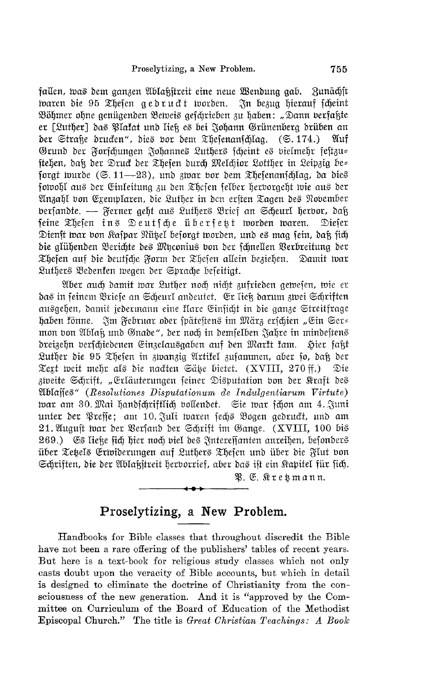fallen, was dem ganzen Ablaßstreit eine neue Wendung gab. Zunächst waren die 95 Thefen gedruckt worden. In bezug hierauf scheint Böhmer ohne genügenden Beweis geschrieben zu haben: "Dann verfaßte er [Luther] das Plakat und ließ es bei Johann Grünenberg drüben an der Straße drucken", dies vor dem Thesenanschlag. (S. 174.) Auf Grund der Forschungen Johannes Luthers scheint es vielmehr festzu= ftehen, daß der Druck der Thefen durch Melchior Lotther in Leipzig be= forgt wurde  $(\mathfrak{S}, 11 \rightarrow 23)$ , und zwar vor dem Thefenanschlag, da dies fotvohl aus der Einleitung zu den Thefen felber herborgeht wie aus der Anzahl von Exemplaren, die Luther in den ersten Tagen des November bersandte. — Ferner geht aus Luthers Brief an Scheurl herbor, daß seine Thesen ins Deutsche übersett worden waren. Diefer Dienst war von Kafpar Nützel besorgt worden, und es mag sein, daß sich die glühenden Berichte des Myconius von der schnellen Verbreitung der Thefen auf die deutsche Form der Thefen allein beziehen. Damit war Luthers Bedenken wegen der Sprache beseitigt.

Aber auch damit war Luther noch nicht zufrieden gewesen, wie er das in feinem Briefe an Scheurl andeutet. Er ließ darum zwei Schriften ausgehen, damit jedermann eine flare Einsicht in die ganze Streitfrage haben könne. Im Februar oder spätestens im März erschien "Ein Ser= mon von Ablaß und Gnade", der noch in demselben Jahre in mindestens dreizehn verschiedenen Einzelausgaben auf den Markt kam. Sier faßt Luther die 95 Thefen in zwanzig Artifel zusammen, aber so, daß der Text weit mehr als die nachten Sätze bietet. (XVIII, 270 ff.) Die zweite Schrift, "Erläuterungen seiner Disputation von der Kraft des Wilajies" (Resolutiones Disputationum de Indulgentiarum Virtute) tvar am 30. Mai handschriftlich vollendet. Sie war schon am 4. Juni unter der Presse; am 10. Juli waren sechs Bogen gedruckt, und am 21. August war der Versand der Schrift im Gange. (XVIII, 100 bis 269.) Es ließe sich hier noch viel des Interessanten anreihen, besonders über Tetels Erwiderungen auf Luthers Thesen und über die Flut von Schriften, die der Ablaßstreit herborrief, aber das ist ein Kapitel für sich.

P. E. Kresmann.

### Proselytizing, a New Problem.

Handbooks for Bible classes that throughout discredit the Bible have not been a rare offering of the publishers' tables of recent years. But here is a text-book for religious study classes which not only casts doubt upon the veracity of Bible accounts, but which in detail is designed to eliminate the doctrine of Christianity from the consciousness of the new generation. And it is "approved by the Committee on Curriculum of the Board of Education of the Methodist Episcopal Church." The title is Great Christian Teachings: A Book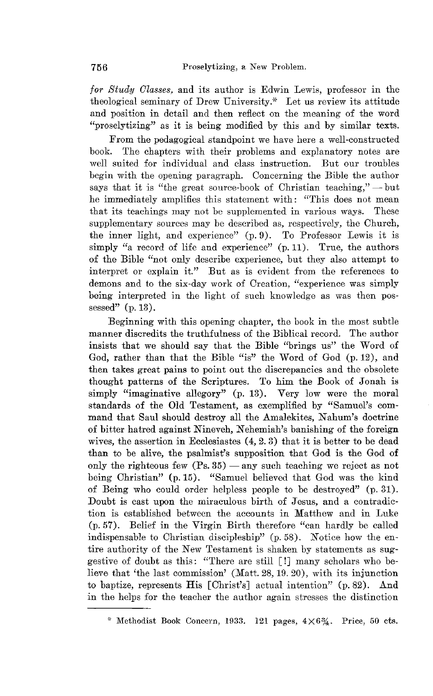*for Study Classes,* and its author is Edwin Lewis, professor in the theological seminary of Drew University.\* Let us review its attitude and position in detail and then reflect on the meaning of the word "proselytizing" as it is being modified by this and by similar texts.

From the pedagogical standpoint we have here a well-constructed book. The chapters with their problems and explanatory notes are well suited for individual and class instruction. But our troubles begin with the opening paragraph. Concerning the Bible the author says that it is "the great source-book of Christian teaching,"  $\rightharpoonup$  but he immediately amplifies this statement with: "This does not mean that its teachings may not be supplemented in various ways. These supplementary sources may be described as, respectively, the Church, the inner light, and experience" (p.9). To Professor Lewis it is simply "a record of life and experience"  $(p, 11)$ . True, the authors of the Bible "not only describe experience, but they also attempt to interpret or explain it." But as is evident from the references to demons and to the six-day work of Creation, "experience was simply being interpreted in the light of such knowledge as was then possessed"  $(p. 13)$ .

Beginning with this opening chapter, the book in the most subtle manner discredits the truthfulness of the Biblical record. The author insists that we should say that the Bible "brings us" the Word of God, rather than that the Bible "is" the Word of God (p.12), and then takes great pains to point out the discrepancies and the obsolete thought patterns of the Scriptures. To him the Book of Jonah is simply "imaginative allegory" (p. 13). Very low were the moral standards of the Old Testament, as exemplified by "Samuel's command that Saul should destroy all the Amalekites, Nahum's doctrine of bitter hatred against Nineveh, Nehemiah's banishing of the foreign wives, the assertion in Ecclesiastes (4,2.3) that it is better to be dead than to be alive, the psalmist's supposition that God is the God of only the righteous few  $(P_s. 35)$  — any such teaching we reject as not being Christian" (p.15). "Samuel believed that God was the kind of Being who could order helpless people to be destroyed"  $(p.31)$ . Doubt is cast upon the miraculous birth of Jesus, and a contradiction is established between the accounts in Matthew and in Luke (p.57). Belief in the Virgin Birth therefore "can hardly be called indispensable to Christian discipleship" (p. 58). Notice how the entire authority of the New Testament is shaken by statements as suggestive of doubt as this: "There are still [!J many scholars who believe that 'the last commission' (Matt. 28, 19. 20), with its injunction to baptize, represents His [Christ'sJ actual intention" (p.82). And in the helps for the teacher the author again stresses the distinction

<sup>\*</sup> Methodist Book Concern, 1933. 121 pages,  $4\times6\frac{3}{4}$ . Price, 50 cts.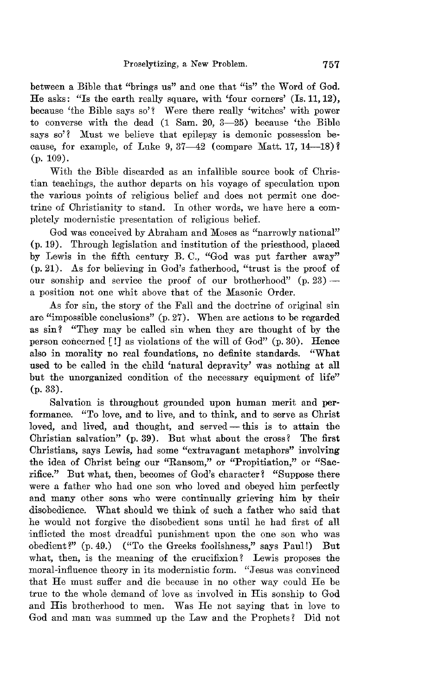between a Bible that "brings us" and one that "is" the Word of God. He asks: "Is the earth really square, with 'four corners' (Is. 11,12), because 'the Bible says so'? Were there really 'witches' with power to converse with the dead (1 Sam. 20, 3-25) because 'the Bible says so'? Must we believe that epilepsy is demonic possession because, for example, of Luke 9,  $37-42$  (compare Matt. 17,  $14-18$ )? (p. 109).

With the Bible discarded as an infallible source book of Christian teachings, the author departs on his voyage of speculation upon the various points of religious belief and does not permit one doctrine of Ohristianity to stand. In other words, we have here a completely modernistic presentation of religious belief.

God was conceived by Abraham and Moses as "narrowly national" (p.19). Through legislation and institution of the priesthood, placed by Lewis in the fifth century B. C., "God was put farther away" (p.21). As for believing in God's fatherhood, "trust is the proof of our sonship and service the proof of our brotherhood"  $(p, 23)$  a position not one whit above that of the Masonic Order.

As for sin, the story of the Fall and the doctrine of original sin are "impossible conclusions" (p.27). Wnen are actions to be regarded as sin? "They may be called sin when they are thought of by the person concerned  $\lceil \cdot \rceil$  as violations of the will of God" (p. 30). Hence also in morality no real foundations, no definite standards. ''What used to be called in the child 'natural depravity' was nothing at all but the unorganized condition of the necessary equipment of life" (p.33).

Salvation is throughout grounded upon human merit and performance. "To love, and to live, and to think, and to serve as Ohrist loved, and lived, and thought, and served - this is to attain the Ohristian salvation" (p.39). But what about the cross? The first Ohristians, says Lewis, had some "extravagant metaphors" involving the idea of Ohrist being our "Ransom," or "Propitiation," or "Sacrifice." But what, then, becomes of God's character? "Suppose there were a father who had one son who loved and obeyed him perfectly and many other sons who were continually grieving him by their disobedience. What should we think of such a father who said that he would not forgive the disobedient sons until he had first of all inflicted the most dreadful punishment upon the one son who was obedient?" (p.49.) ("To the Greeks foolishness," says Paul!) But what, then, is the meaning of the crucifixion? Lewis proposes the moral-influence theory in its modernistic form. "Jesus was convinced that He must suffer and die because in no other way could He be true to the whole demand of love as involved in His sonship to God and His brotherhood to men. Was He not saying that in love to God and man was summed up the Law and the Prophets? Did not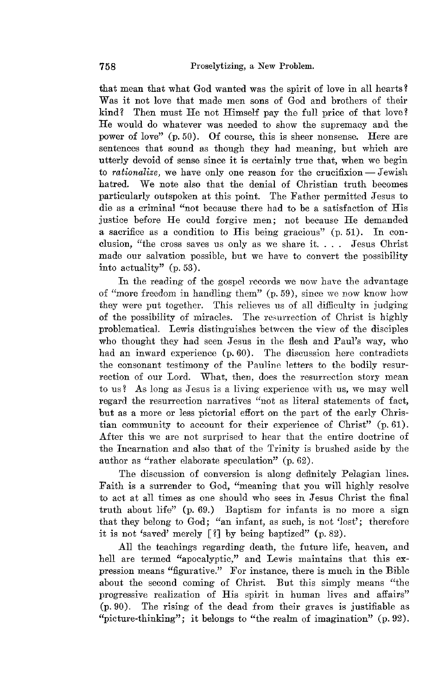that mean that what God wanted was the spirit of love in all hearts? Was it not love that made men sons of God and brothers of their kind? Then must He not Himself pay the full price of that love? He would do whatever was needed to show the supremacy and the power of love" (p. 50). Of course, this is sheer nonsense. Here are sentences that sound as though they had meaning, but which are utterly devoid of sense since it is certainly true that, when we begin to *rationalize*, we have only one reason for the crucifixion - Jewish hatred. We note also that the denial of Ohristian truth becomes particularly outspoken at this point. The Father permitted Jesus to die as a criminal "not because there had to be a satisfaction of His justice before He could forgive men; not because He demanded a sacrifice as a condition to His being gracious" (p. 51). In conclusion, "the cross saves us only as we share it. . . . Jesus Christ made our salvation possible, but we have to convert the possibility into actuality" (p. 53).

In the reading of the gospel records we now have the advantage of "more freedom in handling them"  $(p, 59)$ , since we now know how they were put together. This relieves us of all difficulty in judging of the possibility of miracles. The resurrection of Christ is highly problematical. Lewis distinguishes between the view of the disciples who thought they had seen Jesus in the flesh and Paul's way, who had an inward experience (p. 60). The discussion here contradicts the consonant testimony of the Pauline letters to the bodily resurrection of our Lord. What, then, does the resurrection story mean to us? As long as Jesus is a living experience with us, we may well regard the resurrection narratives "not as literal statements of fact, but as a more or less pictorial effort on the part of the early Christian community to account for their experience of Christ" (p. 61). After this we are not surprised to hear that the entire doctrine of the Incarnation and also that of the Trinity is brushed aside by the author as "rather elaborate speculation" (p. 62).

The discussion of conversion is along definitely Pelagian lines. Faith is a surrender to God, "meaning that you will highly resolve to act at all times as one should who sees in Jesus Christ the final truth about life" (p. 69.) Baptism for infants is no more a sign that they belong to God; "an infant, as such, is not 'lost'; therefore it is not 'saved' merely  $\lceil ? \rceil$  by being baptized" (p. 82).

All the teachings regarding death, the future life, heaven, and hell are termed "apocalyptic," and Lewis maintains that this expression means "figurative." For instance, there is much in the Bible about the second coming of Christ. But this simply means "the progressive realization of His spirit in human lives and affairs" (p.90). The rising of the dead from their graves is justifiable as "picture-thinking"; it belongs to "the realm of imagination"  $(p.92)$ .